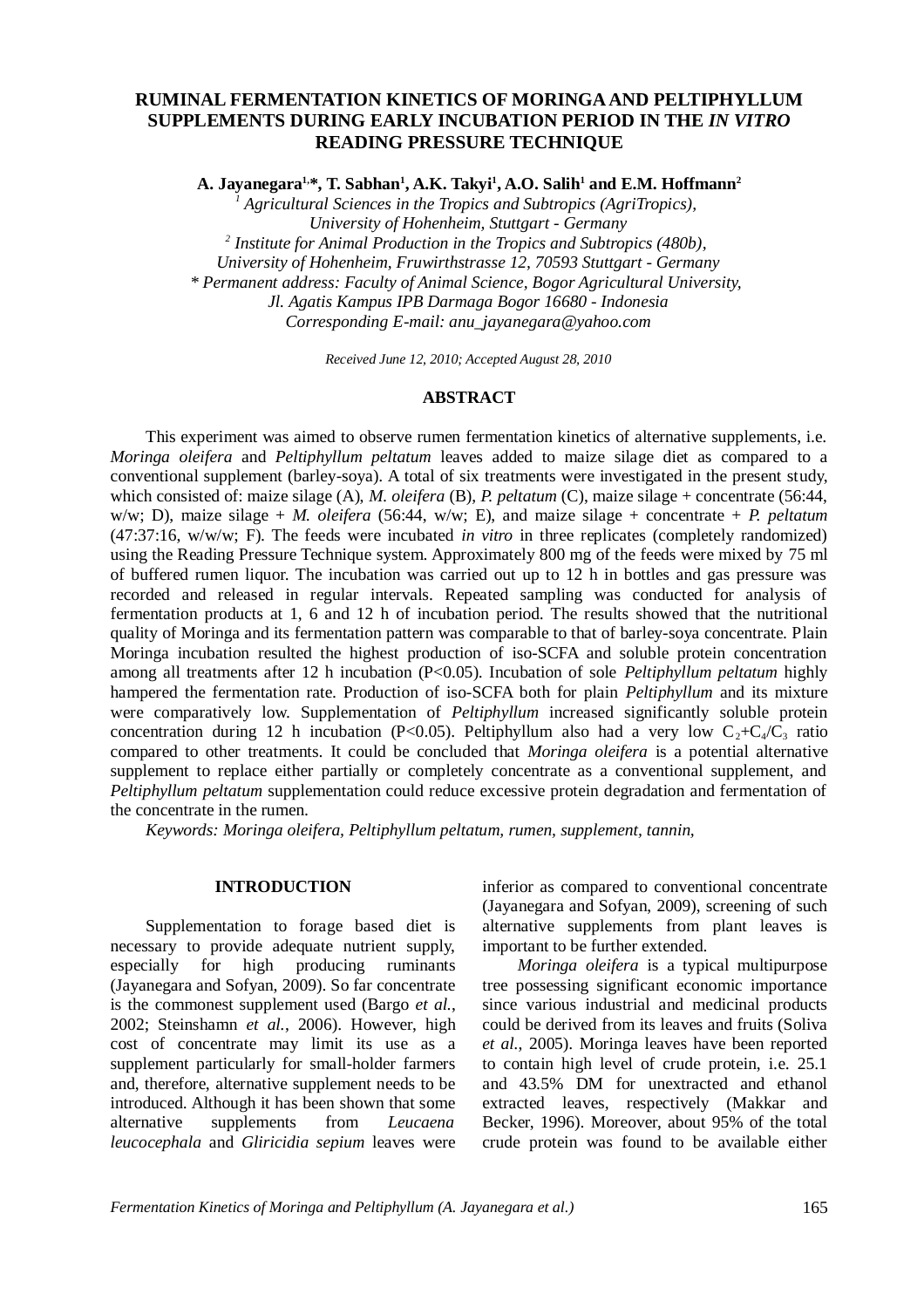# **RUMINAL FERMENTATION KINETICS OF MORINGA AND PELTIPHYLLUM SUPPLEMENTS DURING EARLY INCUBATION PERIOD IN THE** *IN VITRO* **READING PRESSURE TECHNIQUE**

**A. Jayanegara1,\*, T. Sabhan<sup>1</sup> , A.K. Takyi<sup>1</sup> , A.O. Salih<sup>1</sup> and E.M. Hoffmann<sup>2</sup>**

<sup>1</sup> Agricultural Sciences in the Tropics and Subtropics (AgriTropics), *University of Hohenheim, Stuttgart - Germany 2 Institute for Animal Production in the Tropics and Subtropics (480b), University of Hohenheim, Fruwirthstrasse 12, 70593 Stuttgart - Germany \* Permanent address: Faculty of Animal Science, Bogor Agricultural University, Jl. Agatis Kampus IPB Darmaga Bogor 16680 - Indonesia Corresponding E-mail: anu\_jayanegara@yahoo.com*

*Received June 12, 2010; Accepted August 28, 2010*

#### **ABSTRACT**

This experiment was aimed to observe rumen fermentation kinetics of alternative supplements, i.e. *Moringa oleifera* and *Peltiphyllum peltatum* leaves added to maize silage diet as compared to a conventional supplement (barley-soya). A total of six treatments were investigated in the present study, which consisted of: maize silage (A), *M. oleifera* (B), *P. peltatum* (C), maize silage + concentrate (56:44, w/w; D), maize silage + *M. oleifera* (56:44, w/w; E), and maize silage + concentrate + *P. peltatum* (47:37:16, w/w/w; F). The feeds were incubated *in vitro* in three replicates (completely randomized) using the Reading Pressure Technique system. Approximately 800 mg of the feeds were mixed by 75 ml of buffered rumen liquor. The incubation was carried out up to 12 h in bottles and gas pressure was recorded and released in regular intervals. Repeated sampling was conducted for analysis of fermentation products at 1, 6 and 12 h of incubation period. The results showed that the nutritional quality of Moringa and its fermentation pattern was comparable to that of barley-soya concentrate. Plain Moringa incubation resulted the highest production of iso-SCFA and soluble protein concentration among all treatments after 12 h incubation (P<0.05). Incubation of sole *Peltiphyllum peltatum* highly hampered the fermentation rate. Production of iso-SCFA both for plain *Peltiphyllum* and its mixture were comparatively low. Supplementation of *Peltiphyllum* increased significantly soluble protein concentration during 12 h incubation (P<0.05). Peltiphyllum also had a very low  $C_2+C_4/C_3$  ratio compared to other treatments. It could be concluded that *Moringa oleifera* is a potential alternative supplement to replace either partially or completely concentrate as a conventional supplement, and *Peltiphyllum peltatum* supplementation could reduce excessive protein degradation and fermentation of the concentrate in the rumen.

*Keywords: Moringa oleifera, Peltiphyllum peltatum, rumen, supplement, tannin,* 

### **INTRODUCTION**

Supplementation to forage based diet is necessary to provide adequate nutrient supply, especially for high producing ruminants (Jayanegara and Sofyan, 2009). So far concentrate is the commonest supplement used (Bargo *et al.*, 2002; Steinshamn *et al.*, 2006). However, high cost of concentrate may limit its use as a supplement particularly for small-holder farmers and, therefore, alternative supplement needs to be introduced. Although it has been shown that some alternative supplements from *Leucaena leucocephala* and *Gliricidia sepium* leaves were inferior as compared to conventional concentrate (Jayanegara and Sofyan, 2009), screening of such alternative supplements from plant leaves is important to be further extended.

*Moringa oleifera* is a typical multipurpose tree possessing significant economic importance since various industrial and medicinal products could be derived from its leaves and fruits (Soliva *et al.*, 2005). Moringa leaves have been reported to contain high level of crude protein, i.e. 25.1 and 43.5% DM for unextracted and ethanol extracted leaves, respectively (Makkar and Becker, 1996). Moreover, about 95% of the total crude protein was found to be available either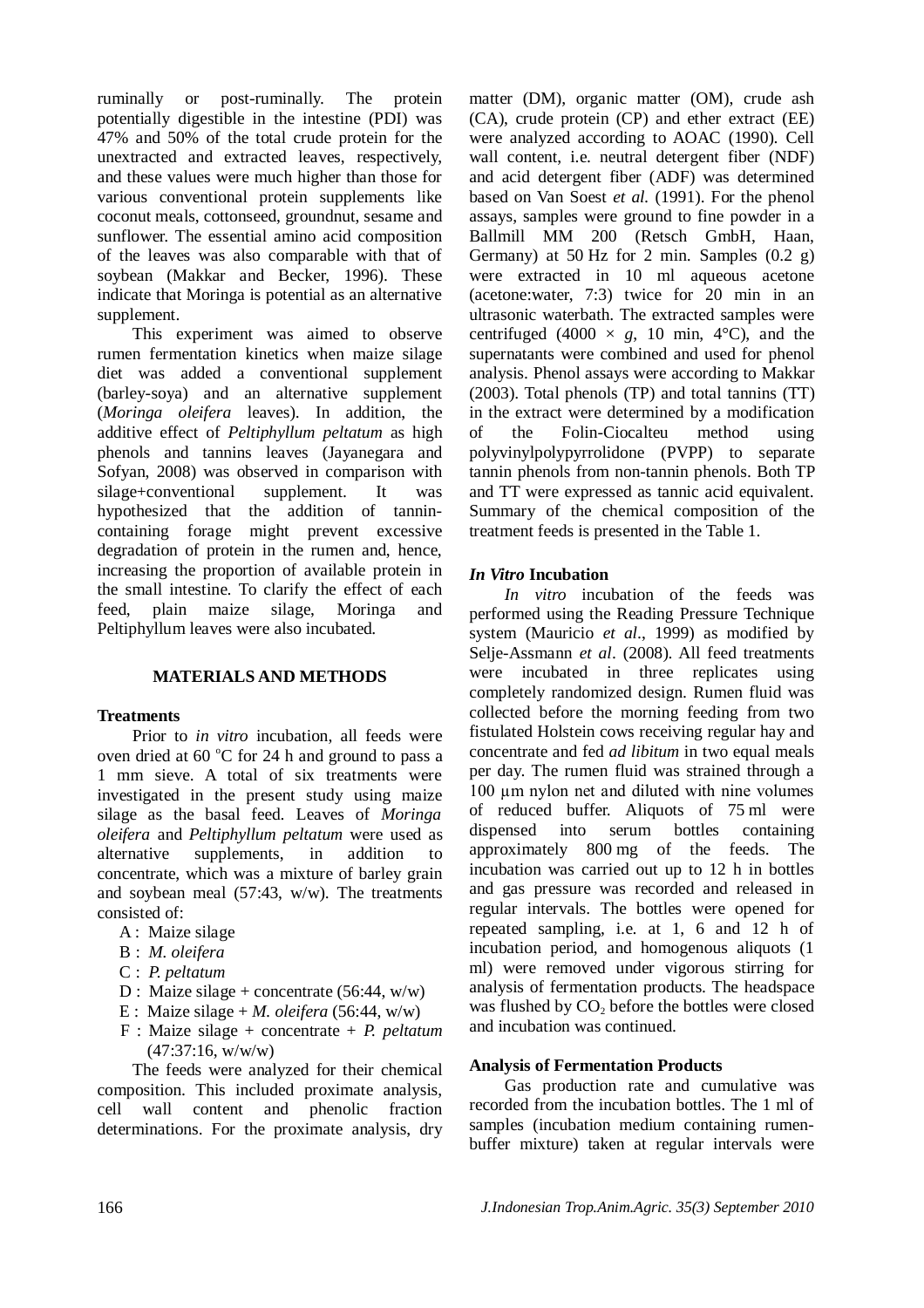ruminally or post-ruminally. The protein potentially digestible in the intestine (PDI) was 47% and 50% of the total crude protein for the unextracted and extracted leaves, respectively, and these values were much higher than those for various conventional protein supplements like coconut meals, cottonseed, groundnut, sesame and sunflower. The essential amino acid composition of the leaves was also comparable with that of soybean (Makkar and Becker, 1996). These indicate that Moringa is potential as an alternative supplement.

This experiment was aimed to observe rumen fermentation kinetics when maize silage diet was added a conventional supplement (barley-soya) and an alternative supplement (*Moringa oleifera* leaves). In addition, the additive effect of *Peltiphyllum peltatum* as high phenols and tannins leaves (Jayanegara and Sofyan, 2008) was observed in comparison with silage+conventional supplement. It was hypothesized that the addition of tannincontaining forage might prevent excessive degradation of protein in the rumen and, hence, increasing the proportion of available protein in the small intestine. To clarify the effect of each feed, plain maize silage, Moringa and Peltiphyllum leaves were also incubated.

### **MATERIALS AND METHODS**

#### **Treatments**

Prior to *in vitro* incubation, all feeds were oven dried at 60  $\degree$ C for 24 h and ground to pass a 1 mm sieve. A total of six treatments were investigated in the present study using maize silage as the basal feed. Leaves of *Moringa oleifera* and *Peltiphyllum peltatum* were used as alternative supplements, in addition to concentrate, which was a mixture of barley grain and soybean meal (57:43, w/w). The treatments consisted of:

- A : Maize silage
- B : *M. oleifera*
- C : *P. peltatum*
- D : Maize silage + concentrate  $(56:44, w/w)$
- E : Maize silage  $+ M$ . *oleifera* (56:44, w/w)
- F : Maize silage + concentrate + *P. peltatum* (47:37:16, w/w/w)

The feeds were analyzed for their chemical composition. This included proximate analysis, cell wall content and phenolic fraction determinations. For the proximate analysis, dry matter (DM), organic matter (OM), crude ash (CA), crude protein (CP) and ether extract (EE) were analyzed according to AOAC (1990). Cell wall content, i.e. neutral detergent fiber (NDF) and acid detergent fiber (ADF) was determined based on Van Soest *et al.* (1991). For the phenol assays, samples were ground to fine powder in a Ballmill MM 200 (Retsch GmbH, Haan, Germany) at 50 Hz for 2 min. Samples  $(0.2 \text{ g})$ were extracted in 10 ml aqueous acetone (acetone:water, 7:3) twice for 20 min in an ultrasonic waterbath. The extracted samples were centrifuged (4000  $\times$  *g*, 10 min, 4<sup>o</sup>C), and the supernatants were combined and used for phenol analysis. Phenol assays were according to Makkar (2003). Total phenols (TP) and total tannins (TT) in the extract were determined by a modification of the Folin-Ciocalteu method using polyvinylpolypyrrolidone (PVPP) to separate tannin phenols from non-tannin phenols. Both TP and TT were expressed as tannic acid equivalent. Summary of the chemical composition of the treatment feeds is presented in the Table 1.

### *In Vitro* **Incubation**

*In vitro* incubation of the feeds was performed using the Reading Pressure Technique system (Mauricio *et al*., 1999) as modified by Selje-Assmann *et al*. (2008). All feed treatments were incubated in three replicates using completely randomized design. Rumen fluid was collected before the morning feeding from two fistulated Holstein cows receiving regular hay and concentrate and fed *ad libitum* in two equal meals per day. The rumen fluid was strained through a 100 µm nylon net and diluted with nine volumes of reduced buffer. Aliquots of 75 ml were dispensed into serum bottles containing approximately 800 mg of the feeds. The incubation was carried out up to 12 h in bottles and gas pressure was recorded and released in regular intervals. The bottles were opened for repeated sampling, i.e. at 1, 6 and 12 h of incubation period, and homogenous aliquots (1 ml) were removed under vigorous stirring for analysis of fermentation products. The headspace was flushed by  $CO<sub>2</sub>$  before the bottles were closed and incubation was continued.

#### **Analysis of Fermentation Products**

Gas production rate and cumulative was recorded from the incubation bottles. The 1 ml of samples (incubation medium containing rumenbuffer mixture) taken at regular intervals were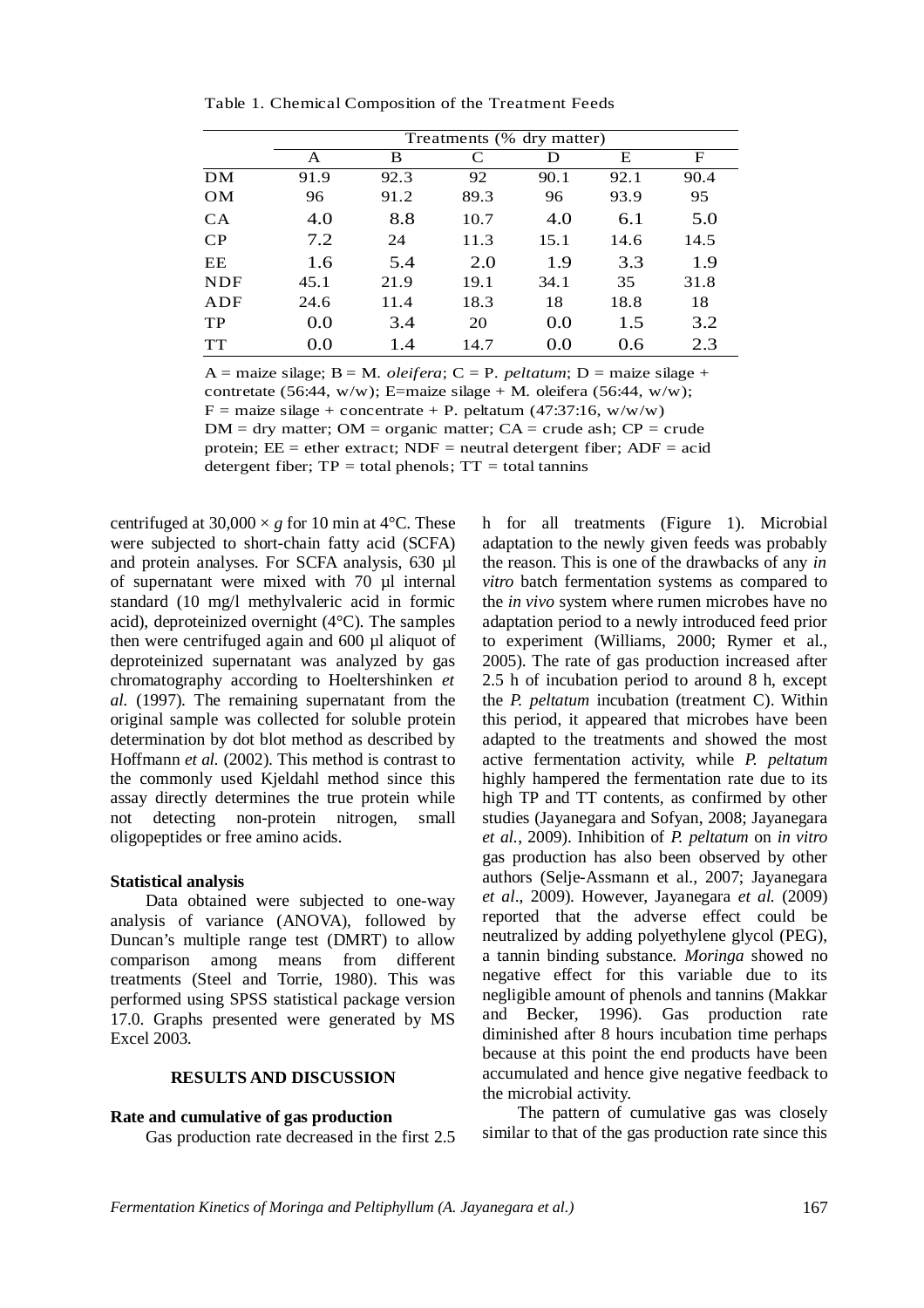|            | Treatments (% dry matter) |      |      |      |      |      |  |  |  |  |
|------------|---------------------------|------|------|------|------|------|--|--|--|--|
|            | A                         | B    | C    | D    | E    | F    |  |  |  |  |
| DM         | 91.9                      | 92.3 | 92   | 90.1 | 92.1 | 90.4 |  |  |  |  |
| <b>OM</b>  | 96                        | 91.2 | 89.3 | 96   | 93.9 | 95   |  |  |  |  |
| <b>CA</b>  | 4.0                       | 8.8  | 10.7 | 4.0  | 6.1  | 5.0  |  |  |  |  |
| $\rm CP$   | 7.2                       | 24   | 11.3 | 15.1 | 14.6 | 14.5 |  |  |  |  |
| EE         | 1.6                       | 5.4  | 2.0  | 1.9  | 3.3  | 1.9  |  |  |  |  |
| <b>NDF</b> | 45.1                      | 21.9 | 19.1 | 34.1 | 35   | 31.8 |  |  |  |  |
| ADF        | 24.6                      | 11.4 | 18.3 | 18   | 18.8 | 18   |  |  |  |  |
| TP         | 0.0                       | 3.4  | 20   | 0.0  | 1.5  | 3.2  |  |  |  |  |
| <b>TT</b>  | 0.0                       | 1.4  | 14.7 | 0.0  | 0.6  | 2.3  |  |  |  |  |

Table 1. Chemical Composition of the Treatment Feeds

 $DM = dry$  matter;  $OM = organic$  matter;  $CA = crude$  ash;  $CP = crude$ protein;  $EE =$  ether extract;  $NDF =$  neutral detergent fiber;  $ADF =$  acid detergent fiber;  $TP = total$  phenols;  $TT = total$  total tannins A = maize silage; B = M. *oleifera*; C = P. *peltatum*; D = maize silage + contretate (56:44, w/w); E=maize silage + M. oleifera (56:44, w/w); F = maize silage + concentrate + P. peltatum (47:37:16, w/w/w)

centrifuged at  $30,000 \times g$  for 10 min at 4<sup>o</sup>C. These were subjected to short-chain fatty acid (SCFA) and protein analyses. For SCFA analysis, 630 µl of supernatant were mixed with 70 µl internal standard (10 mg/l methylvaleric acid in formic acid), deproteinized overnight (4°C). The samples then were centrifuged again and 600 µl aliquot of deproteinized supernatant was analyzed by gas chromatography according to Hoeltershinken *et al.* (1997). The remaining supernatant from the original sample was collected for soluble protein determination by dot blot method as described by Hoffmann *et al.* (2002). This method is contrast to the commonly used Kjeldahl method since this assay directly determines the true protein while not detecting non-protein nitrogen, small oligopeptides or free amino acids.

#### **Statistical analysis**

Data obtained were subjected to one-way analysis of variance (ANOVA), followed by Duncan's multiple range test (DMRT) to allow comparison among means from different treatments (Steel and Torrie, 1980). This was performed using SPSS statistical package version 17.0. Graphs presented were generated by MS Excel 2003.

#### **RESULTS AND DISCUSSION**

#### **Rate and cumulative of gas production**

Gas production rate decreased in the first 2.5

h for all treatments (Figure 1). Microbial adaptation to the newly given feeds was probably the reason. This is one of the drawbacks of any *in vitro* batch fermentation systems as compared to the *in vivo* system where rumen microbes have no adaptation period to a newly introduced feed prior to experiment (Williams, 2000; Rymer et al., 2005). The rate of gas production increased after 2.5 h of incubation period to around 8 h, except the *P. peltatum* incubation (treatment C). Within this period, it appeared that microbes have been adapted to the treatments and showed the most active fermentation activity, while *P. peltatum* highly hampered the fermentation rate due to its high TP and TT contents, as confirmed by other studies (Jayanegara and Sofyan, 2008; Jayanegara *et al.*, 2009). Inhibition of *P. peltatum* on *in vitro* gas production has also been observed by other authors (Selje-Assmann et al., 2007; Jayanegara *et al*., 2009). However, Jayanegara *et al.* (2009) reported that the adverse effect could be neutralized by adding polyethylene glycol (PEG), a tannin binding substance. *Moringa* showed no negative effect for this variable due to its negligible amount of phenols and tannins (Makkar and Becker, 1996). Gas production rate diminished after 8 hours incubation time perhaps because at this point the end products have been accumulated and hence give negative feedback to the microbial activity.

The pattern of cumulative gas was closely similar to that of the gas production rate since this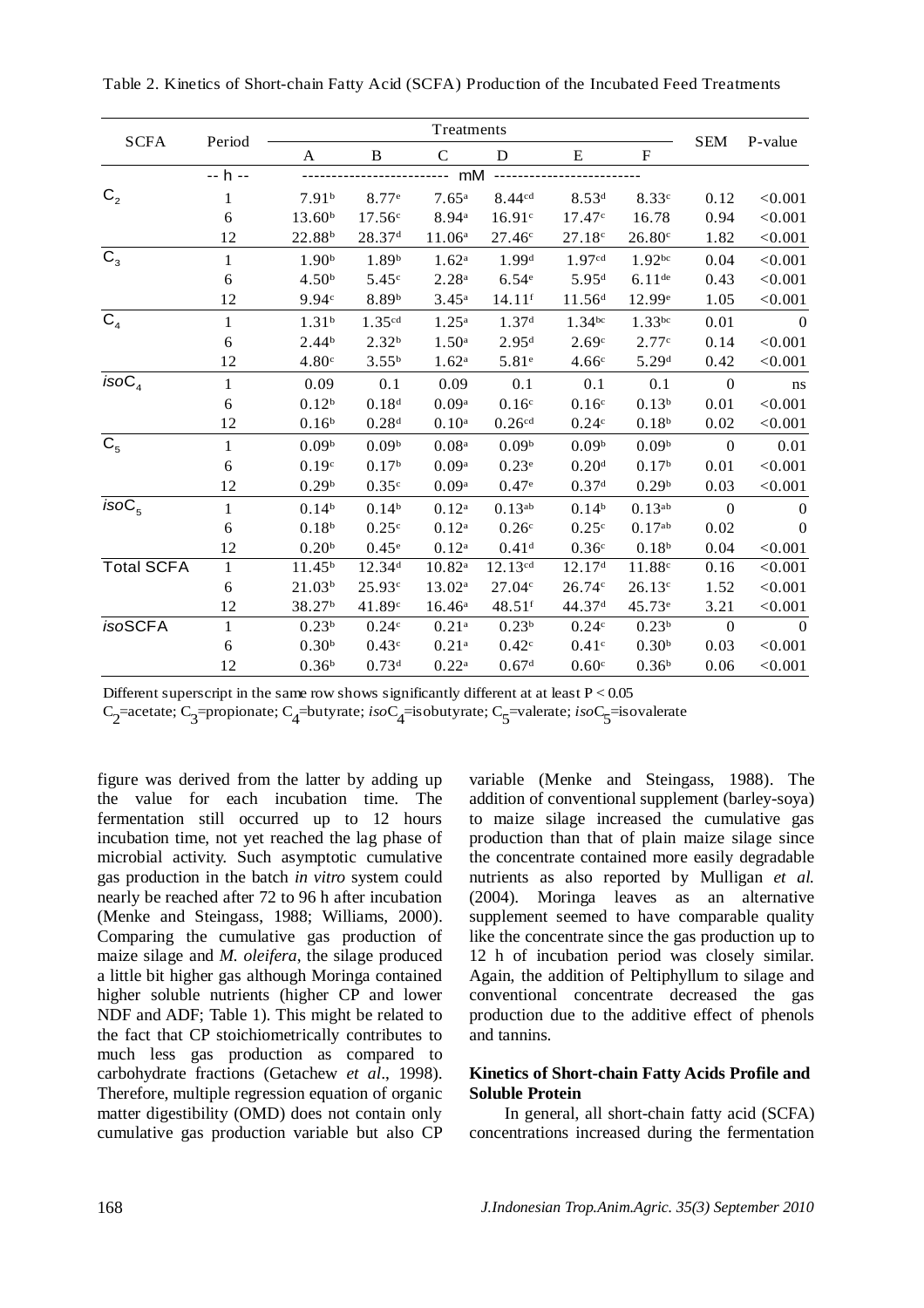| <b>SCFA</b>       | Period        | Treatments         |                    |                    |                      |                    |                    |              |                |
|-------------------|---------------|--------------------|--------------------|--------------------|----------------------|--------------------|--------------------|--------------|----------------|
|                   |               | A                  | B                  | $\mathsf{C}$       | D                    | E                  | ${\rm F}$          | <b>SEM</b>   | P-value        |
|                   | -- h --<br>mM |                    |                    |                    |                      |                    |                    |              |                |
| C <sub>2</sub>    | 1             | 7.91 <sup>b</sup>  | 8.77 <sup>e</sup>  | $7.65^{\rm a}$     | 8.44cd               | 8.53 <sup>d</sup>  | 8.33c              | 0.12         | < 0.001        |
|                   | 6             | 13.60 <sup>b</sup> | 17.56c             | 8.94 <sup>a</sup>  | 16.91c               | 17.47c             | 16.78              | 0.94         | < 0.001        |
|                   | 12            | 22.88 <sup>b</sup> | 28.37 <sup>d</sup> | 11.06 <sup>a</sup> | 27.46c               | 27.18c             | 26.80c             | 1.82         | < 0.001        |
| $\mathsf{C}_3$    | 1             | 1.90 <sup>b</sup>  | 1.89 <sup>b</sup>  | 1.62 <sup>a</sup>  | 1.99 <sup>d</sup>    | 1.97cd             | 1.92 <sup>bc</sup> | 0.04         | < 0.001        |
|                   | 6             | 4.50 <sup>b</sup>  | 5.45c              | 2.28 <sup>a</sup>  | 6.54e                | 5.95 <sup>d</sup>  | $6.11$ de          | 0.43         | < 0.001        |
|                   | 12            | 9.94c              | 8.89b              | $3.45^{\rm a}$     | $14.11$ <sup>f</sup> | 11.56 <sup>d</sup> | 12.99e             | 1.05         | < 0.001        |
| C <sub>4</sub>    | $\mathbf{1}$  | 1.31 <sup>b</sup>  | 1.35cd             | $1.25^{\rm a}$     | 1.37 <sup>d</sup>    | $1.34^{bc}$        | $1.33$ bc          | 0.01         | $\Omega$       |
|                   | 6             | 2.44 <sup>b</sup>  | 2.32 <sup>b</sup>  | 1.50 <sup>a</sup>  | 2.95 <sup>d</sup>    | 2.69c              | 2.77c              | 0.14         | < 0.001        |
|                   | 12            | 4.80c              | $3.55^{b}$         | 1.62 <sup>a</sup>  | 5.81e                | 4.66c              | 5.29 <sup>d</sup>  | 0.42         | < 0.001        |
| isoC <sub>4</sub> | $\mathbf{1}$  | 0.09               | 0.1                | 0.09               | 0.1                  | 0.1                | 0.1                | $\mathbf{0}$ | ns             |
|                   | 6             | 0.12 <sup>b</sup>  | 0.18 <sup>d</sup>  | 0.09 <sup>a</sup>  | 0.16 <sup>c</sup>    | 0.16 <sup>c</sup>  | $0.13^{b}$         | 0.01         | < 0.001        |
|                   | 12            | 0.16 <sup>b</sup>  | 0.28 <sup>d</sup>  | 0.10 <sup>a</sup>  | 0.26 <sup>cd</sup>   | 0.24c              | 0.18 <sup>b</sup>  | 0.02         | < 0.001        |
| C <sub>5</sub>    | 1             | 0.09 <sup>b</sup>  | 0.09 <sup>b</sup>  | 0.08 <sup>a</sup>  | 0.09 <sup>b</sup>    | 0.09 <sup>b</sup>  | 0.09 <sup>b</sup>  | $\mathbf{0}$ | 0.01           |
|                   | 6             | 0.19c              | 0.17 <sup>b</sup>  | 0.09 <sup>a</sup>  | 0.23e                | 0.20 <sup>d</sup>  | 0.17 <sup>b</sup>  | 0.01         | < 0.001        |
|                   | 12            | 0.29 <sup>b</sup>  | 0.35c              | 0.09 <sup>a</sup>  | 0.47e                | 0.37 <sup>d</sup>  | 0.29 <sup>b</sup>  | 0.03         | < 0.001        |
| isoC <sub>5</sub> | $\mathbf{1}$  | 0.14 <sup>b</sup>  | 0.14 <sup>b</sup>  | 0.12 <sup>a</sup>  | $0.13$ <sup>ab</sup> | 0.14 <sup>b</sup>  | $0.13^{ab}$        | $\mathbf{0}$ | $\overline{0}$ |
|                   | 6             | 0.18 <sup>b</sup>  | 0.25c              | $0.12^{a}$         | 0.26c                | 0.25c              | 0.17 <sup>ab</sup> | 0.02         | $\overline{0}$ |
|                   | 12            | 0.20 <sup>b</sup>  | $0.45^{\circ}$     | $0.12^{a}$         | 0.41 <sup>d</sup>    | 0.36 <sup>c</sup>  | 0.18 <sup>b</sup>  | 0.04         | < 0.001        |
| <b>Total SCFA</b> | $\mathbf{1}$  | 11.45 <sup>b</sup> | 12.34 <sup>d</sup> | $10.82^{\rm a}$    | $12.13^{cd}$         | 12.17 <sup>d</sup> | 11.88c             | 0.16         | < 0.001        |
|                   | 6             | 21.03 <sup>b</sup> | 25.93c             | $13.02^{\rm a}$    | 27.04c               | 26.74c             | $26.13^{\circ}$    | 1.52         | < 0.001        |
|                   | 12            | 38.27 <sup>b</sup> | 41.89c             | $16.46^{\rm a}$    | $48.51$ f            | 44.37 <sup>d</sup> | 45.73 <sup>e</sup> | 3.21         | < 0.001        |
| <i>isoSCFA</i>    | 1             | 0.23 <sup>b</sup>  | 0.24c              | 0.21 <sup>a</sup>  | 0.23 <sup>b</sup>    | 0.24c              | 0.23 <sup>b</sup>  | $\Omega$     | $\Omega$       |
|                   | 6             | 0.30 <sup>b</sup>  | 0.43c              | $0.21^{a}$         | 0.42c                | 0.41 <sup>c</sup>  | 0.30 <sup>b</sup>  | 0.03         | < 0.001        |
|                   | 12            | 0.36 <sup>b</sup>  | 0.73 <sup>d</sup>  | $0.22^{\rm a}$     | 0.67 <sup>d</sup>    | 0.60c              | 0.36 <sup>b</sup>  | 0.06         | < 0.001        |

Table 2. Kinetics of Short-chain Fatty Acid (SCFA) Production of the Incubated Feed Treatments

Different superscript in the same row shows significantly different at at least P < 0.05

C<sub>2</sub>=acetate; C<sub>3</sub>=propionate; C<sub>4</sub>=butyrate; *iso*C<sub>4</sub>=isobutyrate; C<sub>5</sub>=valerate; *iso*C<sub>5</sub>=isovalerate

figure was derived from the latter by adding up the value for each incubation time. The fermentation still occurred up to 12 hours incubation time, not yet reached the lag phase of microbial activity. Such asymptotic cumulative gas production in the batch *in vitro* system could nearly be reached after 72 to 96 h after incubation (Menke and Steingass, 1988; Williams, 2000). Comparing the cumulative gas production of maize silage and *M. oleifera*, the silage produced a little bit higher gas although Moringa contained higher soluble nutrients (higher CP and lower NDF and ADF; Table 1). This might be related to the fact that CP stoichiometrically contributes to much less gas production as compared to carbohydrate fractions (Getachew *et al*., 1998). Therefore, multiple regression equation of organic matter digestibility (OMD) does not contain only cumulative gas production variable but also CP variable (Menke and Steingass, 1988). The addition of conventional supplement (barley-soya) to maize silage increased the cumulative gas production than that of plain maize silage since the concentrate contained more easily degradable nutrients as also reported by Mulligan *et al.* (2004). Moringa leaves as an alternative supplement seemed to have comparable quality like the concentrate since the gas production up to 12 h of incubation period was closely similar. Again, the addition of Peltiphyllum to silage and conventional concentrate decreased the gas production due to the additive effect of phenols and tannins.

## **Kinetics of Short-chain Fatty Acids Profile and Soluble Protein**

In general, all short-chain fatty acid (SCFA) concentrations increased during the fermentation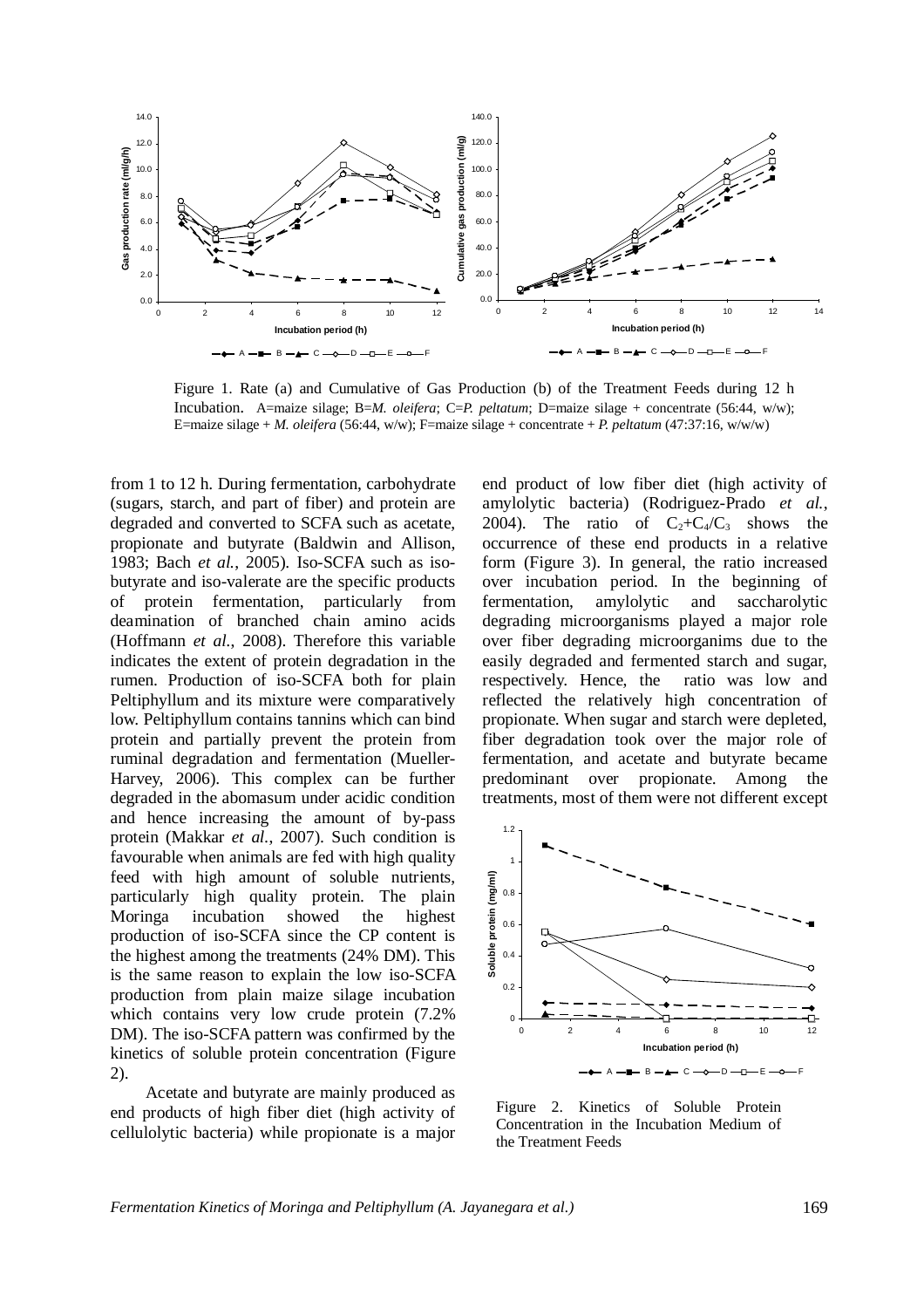

Figure 1. Rate (a) and Cumulative of Gas Production (b) of the Treatment Feeds during 12 h Incubation. A=maize silage; B=*M. oleifera*; C=*P. peltatum*; D=maize silage + concentrate (56:44, w/w); E=maize silage + *M. oleifera* (56:44, w/w); F=maize silage + concentrate + *P. peltatum* (47:37:16, w/w/w)

from 1 to 12 h. During fermentation, carbohydrate (sugars, starch, and part of fiber) and protein are degraded and converted to SCFA such as acetate, propionate and butyrate (Baldwin and Allison, 1983; Bach *et al.*, 2005). Iso-SCFA such as isobutyrate and iso-valerate are the specific products of protein fermentation, particularly from deamination of branched chain amino acids (Hoffmann *et al.*, 2008). Therefore this variable indicates the extent of protein degradation in the rumen. Production of iso-SCFA both for plain Peltiphyllum and its mixture were comparatively low. Peltiphyllum contains tannins which can bind protein and partially prevent the protein from ruminal degradation and fermentation (Mueller-Harvey, 2006). This complex can be further degraded in the abomasum under acidic condition and hence increasing the amount of by-pass protein (Makkar *et al.*, 2007). Such condition is favourable when animals are fed with high quality feed with high amount of soluble nutrients, particularly high quality protein. The plain Moringa incubation showed the highest production of iso-SCFA since the CP content is the highest among the treatments (24% DM). This is the same reason to explain the low iso-SCFA production from plain maize silage incubation which contains very low crude protein  $(7.2\%$ DM). The iso-SCFA pattern was confirmed by the kinetics of soluble protein concentration (Figure 2).

Acetate and butyrate are mainly produced as end products of high fiber diet (high activity of cellulolytic bacteria) while propionate is a major

end product of low fiber diet (high activity of amylolytic bacteria) (Rodriguez-Prado *et al.*, 2004). The ratio of  $C_2+C_4/C_3$  shows the occurrence of these end products in a relative form (Figure 3). In general, the ratio increased over incubation period. In the beginning of fermentation, amylolytic and saccharolytic degrading microorganisms played a major role over fiber degrading microorganims due to the easily degraded and fermented starch and sugar, respectively. Hence, the ratio was low and reflected the relatively high concentration of propionate. When sugar and starch were depleted, fiber degradation took over the major role of fermentation, and acetate and butyrate became predominant over propionate. Among the treatments, most of them were not different except



Figure 2. Kinetics of Soluble Protein Concentration in the Incubation Medium of the Treatment Feeds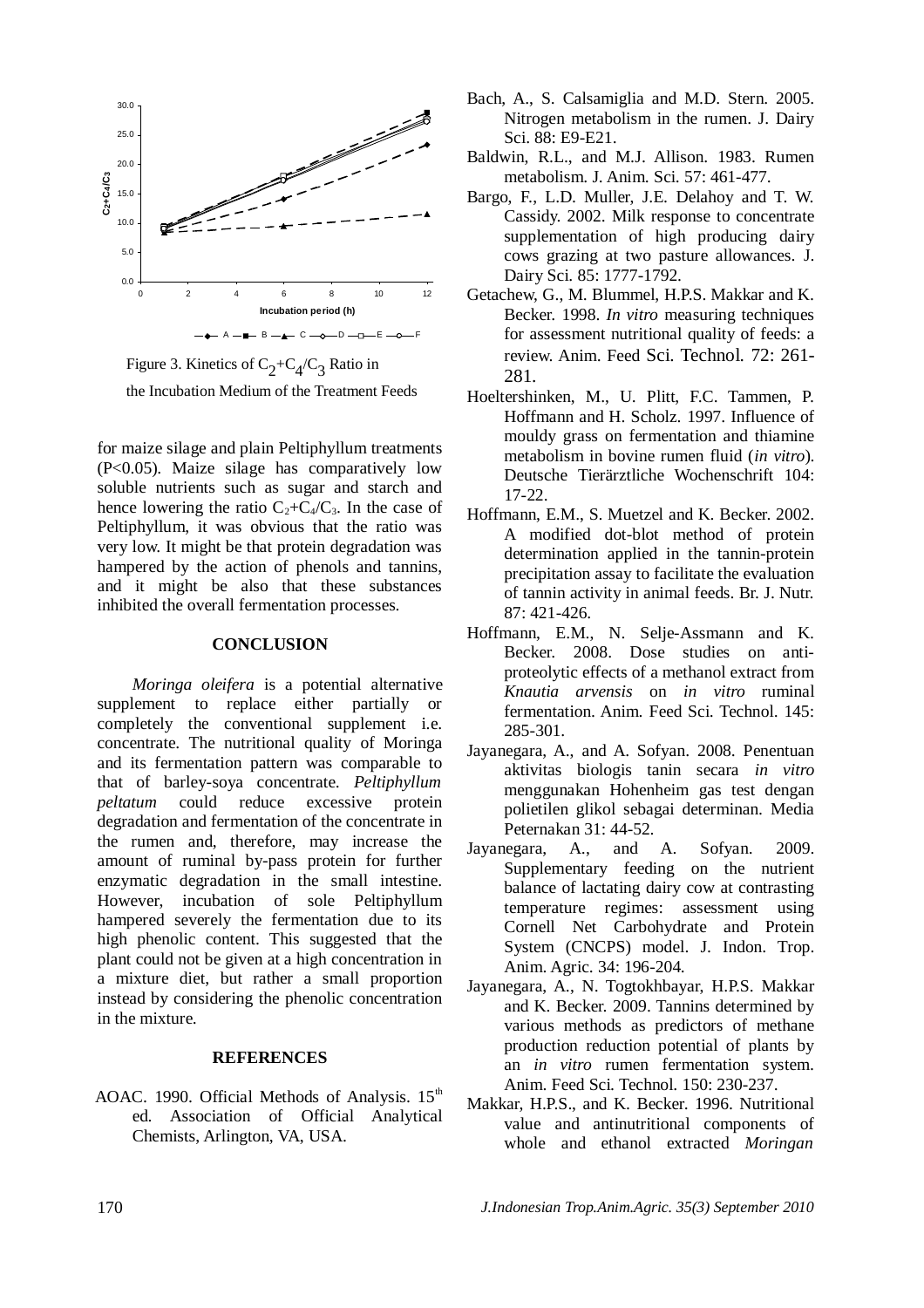

Figure 3. Kinetics of  $C_2+C_4/C_3$  Ratio in the Incubation Medium of the Treatment Feeds

for maize silage and plain Peltiphyllum treatments (P<0.05). Maize silage has comparatively low soluble nutrients such as sugar and starch and hence lowering the ratio  $C_2+C_4/C_3$ . In the case of Peltiphyllum, it was obvious that the ratio was very low. It might be that protein degradation was hampered by the action of phenols and tannins, and it might be also that these substances inhibited the overall fermentation processes.

#### **CONCLUSION**

*Moringa oleifera* is a potential alternative supplement to replace either partially or completely the conventional supplement i.e. concentrate. The nutritional quality of Moringa and its fermentation pattern was comparable to that of barley-soya concentrate. *Peltiphyllum peltatum* could reduce excessive protein degradation and fermentation of the concentrate in the rumen and, therefore, may increase the amount of ruminal by-pass protein for further enzymatic degradation in the small intestine. However, incubation of sole Peltiphyllum hampered severely the fermentation due to its high phenolic content. This suggested that the plant could not be given at a high concentration in a mixture diet, but rather a small proportion instead by considering the phenolic concentration in the mixture.

#### **REFERENCES**

AOAC. 1990. Official Methods of Analysis.  $15<sup>th</sup>$ ed. Association of Official Analytical Chemists, Arlington, VA, USA.

- Bach, A., S. Calsamiglia and M.D. Stern. 2005. Nitrogen metabolism in the rumen. J. Dairy Sci. 88: E9-E21.
- Baldwin, R.L., and M.J. Allison. 1983. Rumen metabolism. J. Anim. Sci. 57: 461-477.
- Bargo, F., L.D. Muller, J.E. Delahoy and T. W. Cassidy. 2002. Milk response to concentrate supplementation of high producing dairy cows grazing at two pasture allowances. J. Dairy Sci. 85: 1777-1792.
- Getachew, G., M. Blummel, H.P.S. Makkar and K. Becker. 1998. *In vitro* measuring techniques for assessment nutritional quality of feeds: a review. Anim. Feed Sci. Technol. 72: 261- 281.
- Hoeltershinken, M., U. Plitt, F.C. Tammen, P. Hoffmann and H. Scholz. 1997. Influence of mouldy grass on fermentation and thiamine metabolism in bovine rumen fluid (*in vitro*). Deutsche Tierärztliche Wochenschrift 104: 17-22.
- Hoffmann, E.M., S. Muetzel and K. Becker. 2002. A modified dot-blot method of protein determination applied in the tannin-protein precipitation assay to facilitate the evaluation of tannin activity in animal feeds. Br. J. Nutr. 87: 421-426.
- Hoffmann, E.M., N. Selje-Assmann and K. Becker. 2008. Dose studies on antiproteolytic effects of a methanol extract from *Knautia arvensis* on *in vitro* ruminal fermentation. Anim. Feed Sci. Technol. 145: 285-301.
- Jayanegara, A., and A. Sofyan. 2008. Penentuan aktivitas biologis tanin secara *in vitro* menggunakan Hohenheim gas test dengan polietilen glikol sebagai determinan. Media Peternakan 31: 44-52.
- Jayanegara, A., and A. Sofyan. 2009. Supplementary feeding on the nutrient balance of lactating dairy cow at contrasting temperature regimes: assessment using Cornell Net Carbohydrate and Protein System (CNCPS) model. J. Indon. Trop. Anim. Agric. 34: 196-204.
- Jayanegara, A., N. Togtokhbayar, H.P.S. Makkar and K. Becker. 2009. Tannins determined by various methods as predictors of methane production reduction potential of plants by an *in vitro* rumen fermentation system. Anim. Feed Sci. Technol. 150: 230-237.
- Makkar, H.P.S., and K. Becker. 1996. Nutritional value and antinutritional components of whole and ethanol extracted *Moringan*